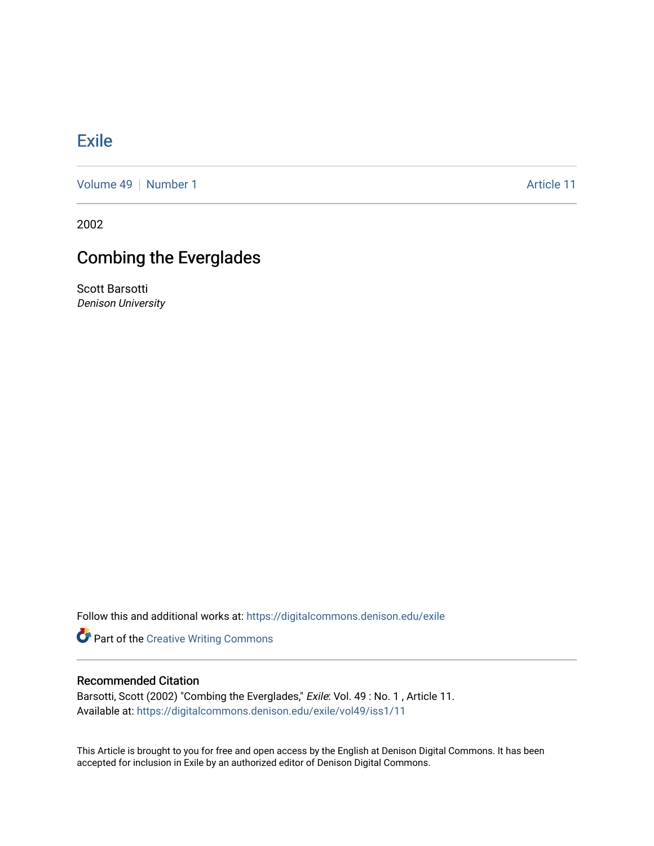## [Exile](https://digitalcommons.denison.edu/exile)

[Volume 49](https://digitalcommons.denison.edu/exile/vol49) [Number 1](https://digitalcommons.denison.edu/exile/vol49/iss1) Article 11

2002

## Combing the Everglades

Scott Barsotti Denison University

Follow this and additional works at: [https://digitalcommons.denison.edu/exile](https://digitalcommons.denison.edu/exile?utm_source=digitalcommons.denison.edu%2Fexile%2Fvol49%2Fiss1%2F11&utm_medium=PDF&utm_campaign=PDFCoverPages) 

**Part of the Creative Writing Commons** 

## Recommended Citation

Barsotti, Scott (2002) "Combing the Everglades," Exile: Vol. 49 : No. 1 , Article 11. Available at: [https://digitalcommons.denison.edu/exile/vol49/iss1/11](https://digitalcommons.denison.edu/exile/vol49/iss1/11?utm_source=digitalcommons.denison.edu%2Fexile%2Fvol49%2Fiss1%2F11&utm_medium=PDF&utm_campaign=PDFCoverPages)

This Article is brought to you for free and open access by the English at Denison Digital Commons. It has been accepted for inclusion in Exile by an authorized editor of Denison Digital Commons.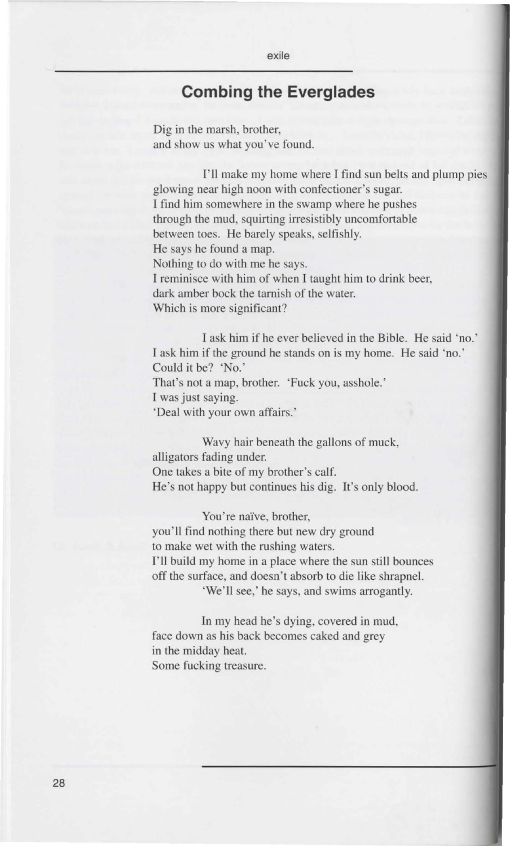## **Combing the Everglades**

exile

Dig in the marsh, brother, and show us what you've found.

1'11 make my home where I find sun belts and plump pies glowing near high noon with confectioner's sugar. I find him somewhere in the swamp where he pushes through the mud, squirting irresistibly uncomfortable between toes. He barely speaks, selfishly. He says he found a map. Nothing to do with me he says. I reminisce with him of when I taught him to drink beer, dark amber bock the tarnish of the water. Which is more significant?

I ask him if he ever believed in the Bible. He said 'no.' I ask him if the ground he stands on is my home. He said 'no.' Could it be? 'No.' That's not a map, brother. 'Fuck you, asshole.' I was just saying. 'Deal with your own affairs.'

Wavy hair beneath the gallons of muck, alligators fading under. One takes a bite of my brother's calf. He's not happy but continues his dig. It's only blood.

You're naïve, brother, you'll find nothing there but new dry ground to make wet with the rushing waters. I'll build my home in a place where the sun still bounces off the surface, and doesn't absorb to die like shrapnel. 'We'll see,' he says, and swims arrogantly.

In my head he's dying, covered in mud, face down as his back becomes caked and grey in the midday heat. Some fucking treasure.